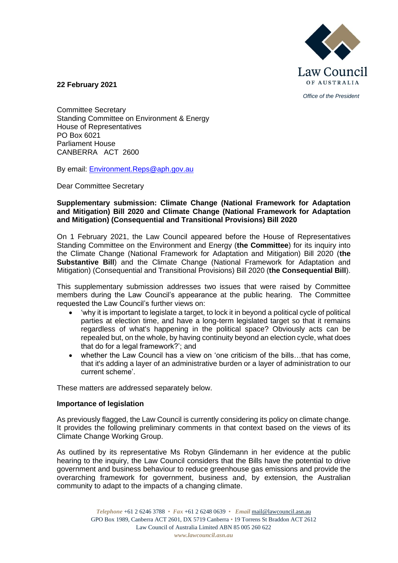

*Office of the President*

**22 February 2021**

Committee Secretary Standing Committee on Environment & Energy House of Representatives PO Box 6021 Parliament House CANBERRA ACT 2600

By email: [Environment.Reps@aph.gov.au](mailto:Environment.Reps@aph.gov.au)

Dear Committee Secretary

## **Supplementary submission: Climate Change (National Framework for Adaptation and Mitigation) Bill 2020 and Climate Change (National Framework for Adaptation and Mitigation) (Consequential and Transitional Provisions) Bill 2020**

On 1 February 2021, the Law Council appeared before the House of Representatives Standing Committee on the Environment and Energy (**the Committee**) for its inquiry into the Climate Change (National Framework for Adaptation and Mitigation) Bill 2020 (**the Substantive Bill**) and the Climate Change (National Framework for Adaptation and Mitigation) (Consequential and Transitional Provisions) Bill 2020 (**the Consequential Bill**).

This supplementary submission addresses two issues that were raised by Committee members during the Law Council's appearance at the public hearing. The Committee requested the Law Council's further views on:

- 'why it is important to legislate a target, to lock it in beyond a political cycle of political parties at election time, and have a long-term legislated target so that it remains regardless of what's happening in the political space? Obviously acts can be repealed but, on the whole, by having continuity beyond an election cycle, what does that do for a legal framework?'; and
- whether the Law Council has a view on 'one criticism of the bills…that has come, that it's adding a layer of an administrative burden or a layer of administration to our current scheme'.

These matters are addressed separately below.

## **Importance of legislation**

As previously flagged, the Law Council is currently considering its policy on climate change. It provides the following preliminary comments in that context based on the views of its Climate Change Working Group.

As outlined by its representative Ms Robyn Glindemann in her evidence at the public hearing to the inquiry, the Law Council considers that the Bills have the potential to drive government and business behaviour to reduce greenhouse gas emissions and provide the overarching framework for government, business and, by extension, the Australian community to adapt to the impacts of a changing climate.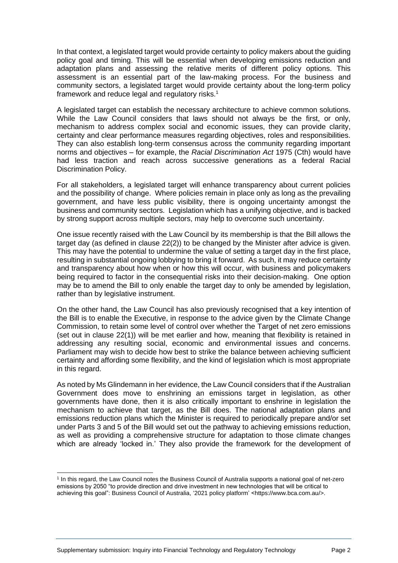In that context, a legislated target would provide certainty to policy makers about the guiding policy goal and timing. This will be essential when developing emissions reduction and adaptation plans and assessing the relative merits of different policy options. This assessment is an essential part of the law-making process. For the business and community sectors, a legislated target would provide certainty about the long-term policy framework and reduce legal and regulatory risks.<sup>1</sup>

A legislated target can establish the necessary architecture to achieve common solutions. While the Law Council considers that laws should not always be the first, or only, mechanism to address complex social and economic issues, they can provide clarity, certainty and clear performance measures regarding objectives, roles and responsibilities. They can also establish long-term consensus across the community regarding important norms and objectives – for example, the *Racial Discrimination Act* 1975 (Cth) would have had less traction and reach across successive generations as a federal Racial Discrimination Policy.

For all stakeholders, a legislated target will enhance transparency about current policies and the possibility of change. Where policies remain in place only as long as the prevailing government, and have less public visibility, there is ongoing uncertainty amongst the business and community sectors. Legislation which has a unifying objective, and is backed by strong support across multiple sectors, may help to overcome such uncertainty.

One issue recently raised with the Law Council by its membership is that the Bill allows the target day (as defined in clause 22(2)) to be changed by the Minister after advice is given. This may have the potential to undermine the value of setting a target day in the first place, resulting in substantial ongoing lobbying to bring it forward. As such, it may reduce certainty and transparency about how when or how this will occur, with business and policymakers being required to factor in the consequential risks into their decision-making. One option may be to amend the Bill to only enable the target day to only be amended by legislation, rather than by legislative instrument.

On the other hand, the Law Council has also previously recognised that a key intention of the Bill is to enable the Executive, in response to the advice given by the Climate Change Commission, to retain some level of control over whether the Target of net zero emissions (set out in clause 22(1)) will be met earlier and how, meaning that flexibility is retained in addressing any resulting social, economic and environmental issues and concerns. Parliament may wish to decide how best to strike the balance between achieving sufficient certainty and affording some flexibility, and the kind of legislation which is most appropriate in this regard.

As noted by Ms Glindemann in her evidence, the Law Council considers that if the Australian Government does move to enshrining an emissions target in legislation, as other governments have done, then it is also critically important to enshrine in legislation the mechanism to achieve that target, as the Bill does. The national adaptation plans and emissions reduction plans which the Minister is required to periodically prepare and/or set under Parts 3 and 5 of the Bill would set out the pathway to achieving emissions reduction, as well as providing a comprehensive structure for adaptation to those climate changes which are already 'locked in.' They also provide the framework for the development of

<sup>1</sup> In this regard, the Law Council notes the Business Council of Australia supports a national goal of net-zero emissions by 2050 "to provide direction and drive investment in new technologies that will be critical to achieving this goal": Business Council of Australia, '2021 policy platform' <https://www.bca.com.au/>.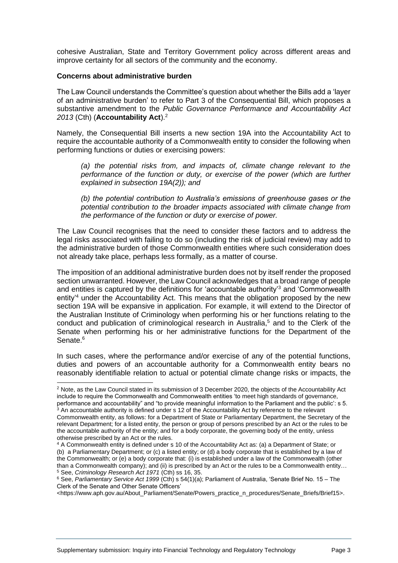cohesive Australian, State and Territory Government policy across different areas and improve certainty for all sectors of the community and the economy.

## **Concerns about administrative burden**

The Law Council understands the Committee's question about whether the Bills add a 'layer of an administrative burden' to refer to Part 3 of the Consequential Bill, which proposes a substantive amendment to the *Public Governance Performance and Accountability Act 2013* (Cth) (**Accountability Act**).<sup>2</sup>

Namely, the Consequential Bill inserts a new section 19A into the Accountability Act to require the accountable authority of a Commonwealth entity to consider the following when performing functions or duties or exercising powers:

*(a) the potential risks from, and impacts of, climate change relevant to the performance of the function or duty, or exercise of the power (which are further explained in subsection 19A(2)); and* 

*(b) the potential contribution to Australia's emissions of greenhouse gases or the potential contribution to the broader impacts associated with climate change from the performance of the function or duty or exercise of power.* 

The Law Council recognises that the need to consider these factors and to address the legal risks associated with failing to do so (including the risk of judicial review) may add to the administrative burden of those Commonwealth entities where such consideration does not already take place, perhaps less formally, as a matter of course.

The imposition of an additional administrative burden does not by itself render the proposed section unwarranted. However, the Law Council acknowledges that a broad range of people and entities is captured by the definitions for 'accountable authority'<sup>3</sup> and 'Commonwealth entity<sup>4</sup> under the Accountability Act. This means that the obligation proposed by the new section 19A will be expansive in application. For example, it will extend to the Director of the Australian Institute of Criminology when performing his or her functions relating to the conduct and publication of criminological research in Australia,<sup>5</sup> and to the Clerk of the Senate when performing his or her administrative functions for the Department of the Senate.<sup>6</sup>

In such cases, where the performance and/or exercise of any of the potential functions, duties and powers of an accountable authority for a Commonwealth entity bears no reasonably identifiable relation to actual or potential climate change risks or impacts, the

<sup>2</sup> Note, as the Law Council stated in its submission of 3 December 2020, the objects of the Accountability Act include to require the Commonwealth and Commonwealth entities 'to meet high standards of governance, performance and accountability" and "to provide meaningful information to the Parliament and the public': s 5.  $3$  An accountable authority is defined under s 12 of the Accountability Act by reference to the relevant Commonwealth entity, as follows: for a Department of State or Parliamentary Department, the Secretary of the relevant Department; for a listed entity, the person or group of persons prescribed by an Act or the [rules](http://www8.austlii.edu.au/cgi-bin/viewdoc/au/legis/cth/consol_act/pgpaaa2013432/s8.html#rules) to be the [accountable authority](http://www8.austlii.edu.au/cgi-bin/viewdoc/au/legis/cth/consol_act/pgpaaa2013432/s8.html#accountable_authority) of the entity; and for a body corporate, th[e governing body](http://www8.austlii.edu.au/cgi-bin/viewdoc/au/legis/cth/consol_act/pgpaaa2013432/s8.html#governing_body) of the entity, unless otherwise prescribed by an Act or the [rules](http://www8.austlii.edu.au/cgi-bin/viewdoc/au/legis/cth/consol_act/pgpaaa2013432/s8.html#rules).

<sup>4</sup> A Commonwealth entity is defined under s 10 of the Accountability Act as: (a) [a Department of State;](http://www8.austlii.edu.au/cgi-bin/viewdoc/au/legis/cth/consol_act/pgpaaa2013432/s8.html#department_of_state) or (b) [a Parliamentary Department;](http://www8.austlii.edu.au/cgi-bin/viewdoc/au/legis/cth/consol_act/pgpaaa2013432/s8.html#parliamentary_department) or (c) [a listed entity;](http://www8.austlii.edu.au/cgi-bin/viewdoc/au/legis/cth/consol_act/pgpaaa2013432/s8.html#listed_entity) or (d) a body corporate that is established by a law of the Commonwealth; or (e) a body corporate that: (i) is established under a law of the Commonwealth (other than [a Commonwealth company\)](http://www8.austlii.edu.au/cgi-bin/viewdoc/au/legis/cth/consol_act/pgpaaa2013432/s8.html#commonwealth_company); and (ii) is prescribed by an Act or the [rules](http://www8.austlii.edu.au/cgi-bin/viewdoc/au/legis/cth/consol_act/pgpaaa2013432/s8.html#rules) to be a [Commonwealth entity…](http://www8.austlii.edu.au/cgi-bin/viewdoc/au/legis/cth/consol_act/pgpaaa2013432/s8.html#commonwealth_entity) <sup>5</sup> See, *Criminology Research Act 1971* (Cth) ss 16, 35.

<sup>6</sup> See, *Parliamentary Service Act 1999* (Cth) s 54(1)(a); Parliament of Australia, 'Senate Brief No. 15 – The Clerk of the Senate and Other Senate Officers'

<sup>&</sup>lt;https://www.aph.gov.au/About\_Parliament/Senate/Powers\_practice\_n\_procedures/Senate\_Briefs/Brief15>.